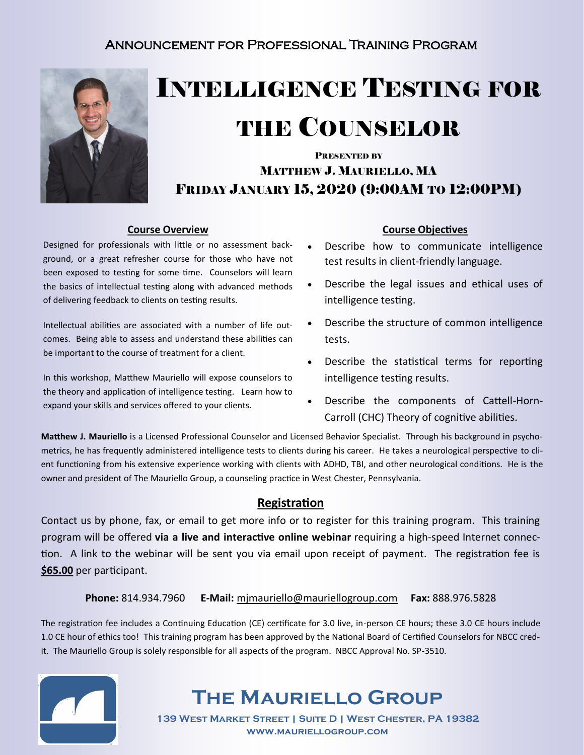### Announcement for Professional Training Program



# INTELLIGENCE TESTING FOR

### THE COUNSELOR

### PRESENTED BY MATTHEW J. MAURIELLO, MA FRIDAY JANUARY 15, 2020 (9:00AM TO 12:00PM)

### **Course Overview**

Designed for professionals with little or no assessment background, or a great refresher course for those who have not been exposed to testing for some time. Counselors will learn the basics of intellectual testing along with advanced methods of delivering feedback to clients on testing results.

Intellectual abilities are associated with a number of life outcomes. Being able to assess and understand these abilities can be important to the course of treatment for a client.

In this workshop, Matthew Mauriello will expose counselors to the theory and application of intelligence testing. Learn how to expand your skills and services offered to your clients.

### **Course Objectives**

- Describe how to communicate intelligence test results in client-friendly language.
- Describe the legal issues and ethical uses of intelligence testing.
- Describe the structure of common intelligence tests.
- Describe the statistical terms for reporting intelligence testing results.
- Describe the components of Cattell-Horn-Carroll (CHC) Theory of cognitive abilities.

**Matthew J. Mauriello** is a Licensed Professional Counselor and Licensed Behavior Specialist. Through his background in psychometrics, he has frequently administered intelligence tests to clients during his career. He takes a neurological perspective to client functioning from his extensive experience working with clients with ADHD, TBI, and other neurological conditions. He is the owner and president of The Mauriello Group, a counseling practice in West Chester, Pennsylvania.

### **Registration**

Contact us by phone, fax, or email to get more info or to register for this training program. This training program will be offered **via a live and interactive online webinar** requiring a high-speed Internet connection. A link to the webinar will be sent you via email upon receipt of payment. The registration fee is **\$65.00** per participant.

### **Phone:** 814.934.7960 **E-Mail:** mjmauriello@mauriellogroup.com **Fax:** 888.976.5828

The registration fee includes a Continuing Education (CE) certificate for 3.0 live, in-person CE hours; these 3.0 CE hours include 1.0 CE hour of ethics too! This training program has been approved by the National Board of Certified Counselors for NBCC credit. The Mauriello Group is solely responsible for all aspects of the program. NBCC Approval No. SP-3510.



### **The Mauriello Group**

**139 West Market Street | Suite D | West Chester, PA 19382 www.mauriellogroup.com**